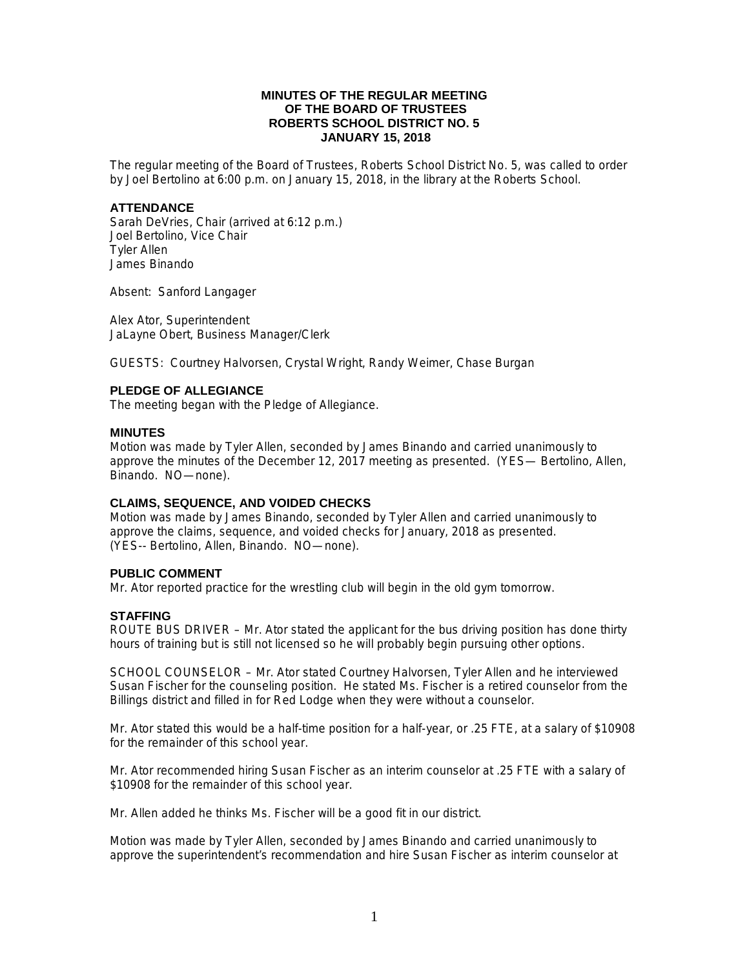# **MINUTES OF THE REGULAR MEETING OF THE BOARD OF TRUSTEES ROBERTS SCHOOL DISTRICT NO. 5 JANUARY 15, 2018**

The regular meeting of the Board of Trustees, Roberts School District No. 5, was called to order by Joel Bertolino at 6:00 p.m. on January 15, 2018, in the library at the Roberts School.

#### **ATTENDANCE**

Sarah DeVries, Chair (arrived at 6:12 p.m.) Joel Bertolino, Vice Chair Tyler Allen James Binando

Absent: Sanford Langager

Alex Ator, Superintendent JaLayne Obert, Business Manager/Clerk

GUESTS: Courtney Halvorsen, Crystal Wright, Randy Weimer, Chase Burgan

#### **PLEDGE OF ALLEGIANCE**

The meeting began with the Pledge of Allegiance.

#### **MINUTES**

Motion was made by Tyler Allen, seconded by James Binando and carried unanimously to approve the minutes of the December 12, 2017 meeting as presented. (YES— Bertolino, Allen, Binando. NO—none).

# **CLAIMS, SEQUENCE, AND VOIDED CHECKS**

Motion was made by James Binando, seconded by Tyler Allen and carried unanimously to approve the claims, sequence, and voided checks for January, 2018 as presented. (YES-- Bertolino, Allen, Binando. NO—none).

#### **PUBLIC COMMENT**

Mr. Ator reported practice for the wrestling club will begin in the old gym tomorrow.

# **STAFFING**

ROUTE BUS DRIVER – Mr. Ator stated the applicant for the bus driving position has done thirty hours of training but is still not licensed so he will probably begin pursuing other options.

SCHOOL COUNSELOR – Mr. Ator stated Courtney Halvorsen, Tyler Allen and he interviewed Susan Fischer for the counseling position. He stated Ms. Fischer is a retired counselor from the Billings district and filled in for Red Lodge when they were without a counselor.

Mr. Ator stated this would be a half-time position for a half-year, or .25 FTE, at a salary of \$10908 for the remainder of this school year.

Mr. Ator recommended hiring Susan Fischer as an interim counselor at .25 FTE with a salary of \$10908 for the remainder of this school year.

Mr. Allen added he thinks Ms. Fischer will be a good fit in our district.

Motion was made by Tyler Allen, seconded by James Binando and carried unanimously to approve the superintendent's recommendation and hire Susan Fischer as interim counselor at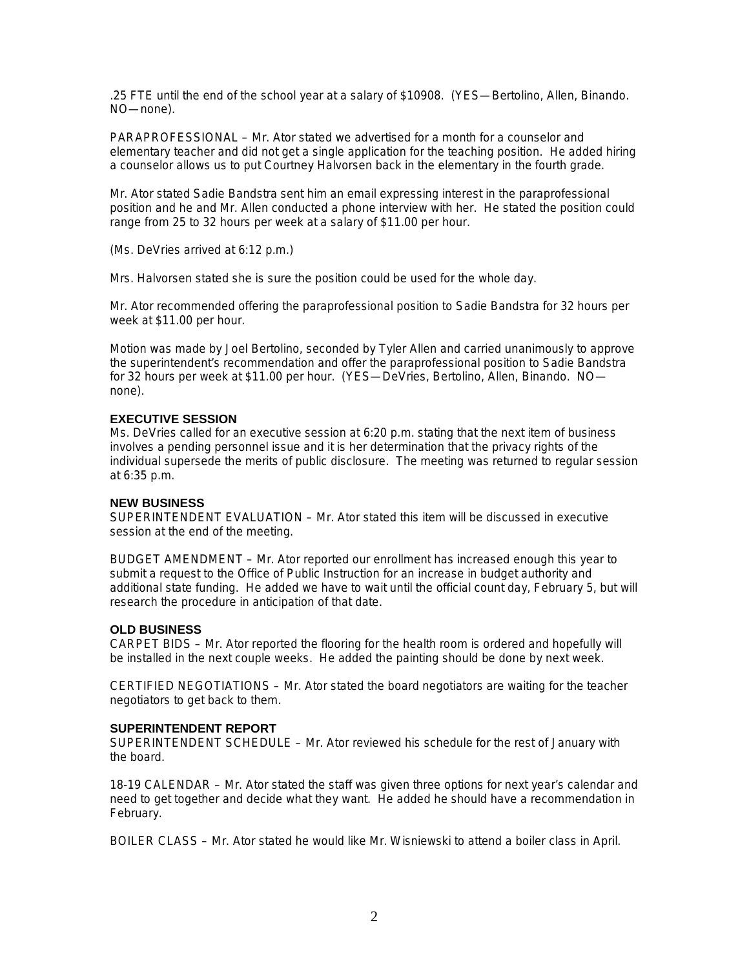.25 FTE until the end of the school year at a salary of \$10908. (YES—Bertolino, Allen, Binando. NO—none).

PARAPROFESSIONAL – Mr. Ator stated we advertised for a month for a counselor and elementary teacher and did not get a single application for the teaching position. He added hiring a counselor allows us to put Courtney Halvorsen back in the elementary in the fourth grade.

Mr. Ator stated Sadie Bandstra sent him an email expressing interest in the paraprofessional position and he and Mr. Allen conducted a phone interview with her. He stated the position could range from 25 to 32 hours per week at a salary of \$11.00 per hour.

(Ms. DeVries arrived at 6:12 p.m.)

Mrs. Halvorsen stated she is sure the position could be used for the whole day.

Mr. Ator recommended offering the paraprofessional position to Sadie Bandstra for 32 hours per week at \$11.00 per hour.

Motion was made by Joel Bertolino, seconded by Tyler Allen and carried unanimously to approve the superintendent's recommendation and offer the paraprofessional position to Sadie Bandstra for 32 hours per week at \$11.00 per hour. (YES—DeVries, Bertolino, Allen, Binando. NO none).

# **EXECUTIVE SESSION**

Ms. DeVries called for an executive session at 6:20 p.m. stating that the next item of business involves a pending personnel issue and it is her determination that the privacy rights of the individual supersede the merits of public disclosure. The meeting was returned to regular session at 6:35 p.m.

# **NEW BUSINESS**

SUPERINTENDENT EVALUATION – Mr. Ator stated this item will be discussed in executive session at the end of the meeting.

BUDGET AMENDMENT – Mr. Ator reported our enrollment has increased enough this year to submit a request to the Office of Public Instruction for an increase in budget authority and additional state funding. He added we have to wait until the official count day, February 5, but will research the procedure in anticipation of that date.

# **OLD BUSINESS**

CARPET BIDS – Mr. Ator reported the flooring for the health room is ordered and hopefully will be installed in the next couple weeks. He added the painting should be done by next week.

CERTIFIED NEGOTIATIONS – Mr. Ator stated the board negotiators are waiting for the teacher negotiators to get back to them.

# **SUPERINTENDENT REPORT**

SUPERINTENDENT SCHEDULE – Mr. Ator reviewed his schedule for the rest of January with the board.

18-19 CALENDAR – Mr. Ator stated the staff was given three options for next year's calendar and need to get together and decide what they want. He added he should have a recommendation in February.

BOILER CLASS – Mr. Ator stated he would like Mr. Wisniewski to attend a boiler class in April.